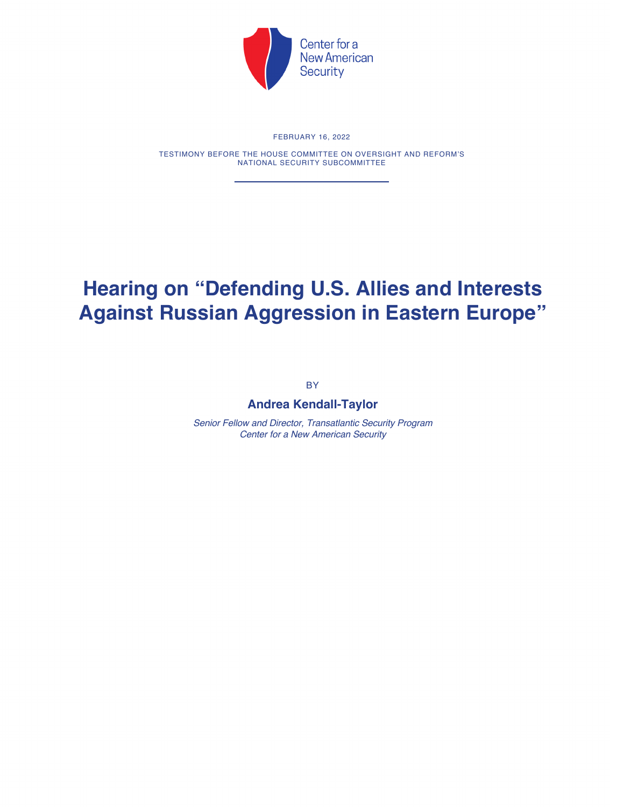

## FEBRUARY 16, 2022

TESTIMONY BEFORE THE HOUSE COMMITTEE ON OVERSIGHT AND REFORM'S NATIONAL SECURITY SUBCOMMITTEE

## **Hearing on "Defending U.S. Allies and Interests Against Russian Aggression in Eastern Europe"**

BY

## **Andrea Kendall-Taylor**

*Senior Fellow and Director, Transatlantic Security Program Center for a New American Security*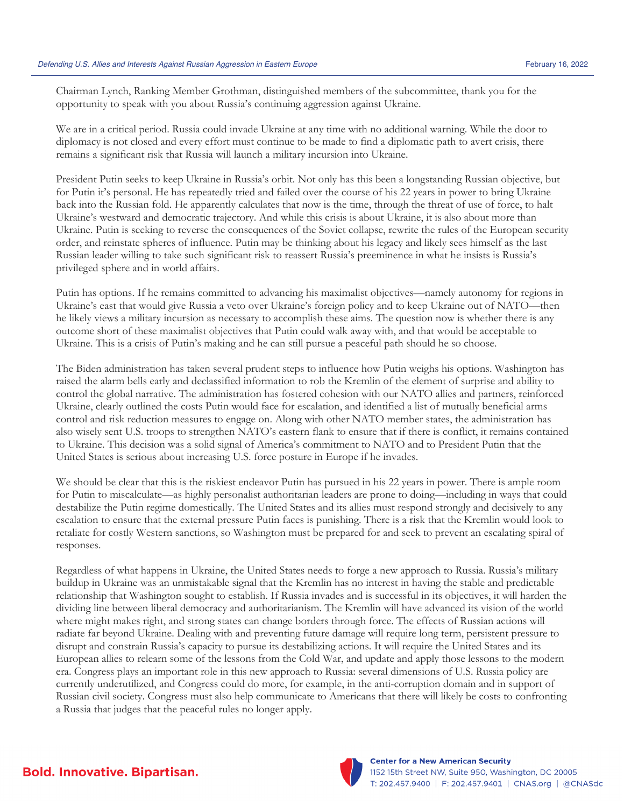Chairman Lynch, Ranking Member Grothman, distinguished members of the subcommittee, thank you for the opportunity to speak with you about Russia's continuing aggression against Ukraine.

We are in a critical period. Russia could invade Ukraine at any time with no additional warning. While the door to diplomacy is not closed and every effort must continue to be made to find a diplomatic path to avert crisis, there remains a significant risk that Russia will launch a military incursion into Ukraine.

President Putin seeks to keep Ukraine in Russia's orbit. Not only has this been a longstanding Russian objective, but for Putin it's personal. He has repeatedly tried and failed over the course of his 22 years in power to bring Ukraine back into the Russian fold. He apparently calculates that now is the time, through the threat of use of force, to halt Ukraine's westward and democratic trajectory. And while this crisis is about Ukraine, it is also about more than Ukraine. Putin is seeking to reverse the consequences of the Soviet collapse, rewrite the rules of the European security order, and reinstate spheres of influence. Putin may be thinking about his legacy and likely sees himself as the last Russian leader willing to take such significant risk to reassert Russia's preeminence in what he insists is Russia's privileged sphere and in world affairs.

Putin has options. If he remains committed to advancing his maximalist objectives—namely autonomy for regions in Ukraine's east that would give Russia a veto over Ukraine's foreign policy and to keep Ukraine out of NATO—then he likely views a military incursion as necessary to accomplish these aims. The question now is whether there is any outcome short of these maximalist objectives that Putin could walk away with, and that would be acceptable to Ukraine. This is a crisis of Putin's making and he can still pursue a peaceful path should he so choose.

The Biden administration has taken several prudent steps to influence how Putin weighs his options. Washington has raised the alarm bells early and declassified information to rob the Kremlin of the element of surprise and ability to control the global narrative. The administration has fostered cohesion with our NATO allies and partners, reinforced Ukraine, clearly outlined the costs Putin would face for escalation, and identified a list of mutually beneficial arms control and risk reduction measures to engage on. Along with other NATO member states, the administration has also wisely sent U.S. troops to strengthen NATO's eastern flank to ensure that if there is conflict, it remains contained to Ukraine. This decision was a solid signal of America's commitment to NATO and to President Putin that the United States is serious about increasing U.S. force posture in Europe if he invades.

We should be clear that this is the riskiest endeavor Putin has pursued in his 22 years in power. There is ample room for Putin to miscalculate—as highly personalist authoritarian leaders are prone to doing—including in ways that could destabilize the Putin regime domestically. The United States and its allies must respond strongly and decisively to any escalation to ensure that the external pressure Putin faces is punishing. There is a risk that the Kremlin would look to retaliate for costly Western sanctions, so Washington must be prepared for and seek to prevent an escalating spiral of responses.

Regardless of what happens in Ukraine, the United States needs to forge a new approach to Russia. Russia's military buildup in Ukraine was an unmistakable signal that the Kremlin has no interest in having the stable and predictable relationship that Washington sought to establish. If Russia invades and is successful in its objectives, it will harden the dividing line between liberal democracy and authoritarianism. The Kremlin will have advanced its vision of the world where might makes right, and strong states can change borders through force. The effects of Russian actions will radiate far beyond Ukraine. Dealing with and preventing future damage will require long term, persistent pressure to disrupt and constrain Russia's capacity to pursue its destabilizing actions. It will require the United States and its European allies to relearn some of the lessons from the Cold War, and update and apply those lessons to the modern era. Congress plays an important role in this new approach to Russia: several dimensions of U.S. Russia policy are currently underutilized, and Congress could do more, for example, in the anti-corruption domain and in support of Russian civil society. Congress must also help communicate to Americans that there will likely be costs to confronting a Russia that judges that the peaceful rules no longer apply.

**Bold. Innovative. Bipartisan.** 



**Center for a New American Security** 1152 15th Street NW, Suite 950, Washington, DC 20005 T: 202.457.9400 | F: 202.457.9401 | CNAS.org | @CNASdc